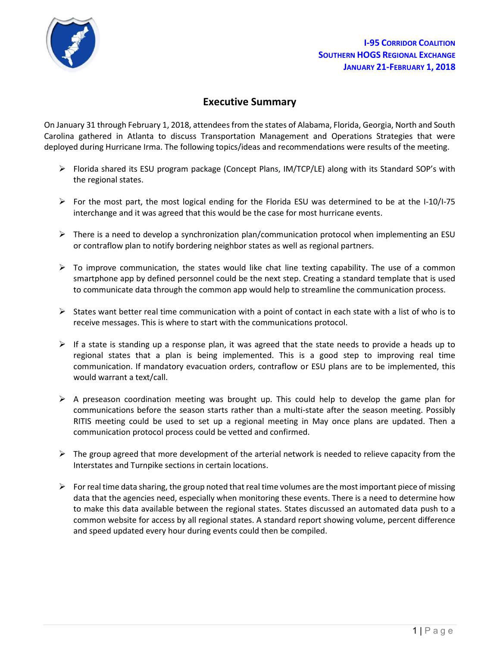

# Executive Summary

On January 31 through February 1, 2018, attendees from the states of Alabama, Florida, Georgia, North and South Carolina gathered in Atlanta to discuss Transportation Management and Operations Strategies that were deployed during Hurricane Irma. The following topics/ideas and recommendations were results of the meeting.

- Florida shared its ESU program package (Concept Plans, IM/TCP/LE) along with its Standard SOP's with the regional states.
- For the most part, the most logical ending for the Florida ESU was determined to be at the I-10/I-75 interchange and it was agreed that this would be the case for most hurricane events.
- $\triangleright$  There is a need to develop a synchronization plan/communication protocol when implementing an ESU or contraflow plan to notify bordering neighbor states as well as regional partners.
- $\triangleright$  To improve communication, the states would like chat line texting capability. The use of a common smartphone app by defined personnel could be the next step. Creating a standard template that is used to communicate data through the common app would help to streamline the communication process.
- $\triangleright$  States want better real time communication with a point of contact in each state with a list of who is to receive messages. This is where to start with the communications protocol.
- $\triangleright$  If a state is standing up a response plan, it was agreed that the state needs to provide a heads up to regional states that a plan is being implemented. This is a good step to improving real time communication. If mandatory evacuation orders, contraflow or ESU plans are to be implemented, this would warrant a text/call.
- $\triangleright$  A preseason coordination meeting was brought up. This could help to develop the game plan for communications before the season starts rather than a multi-state after the season meeting. Possibly RITIS meeting could be used to set up a regional meeting in May once plans are updated. Then a communication protocol process could be vetted and confirmed.
- $\triangleright$  The group agreed that more development of the arterial network is needed to relieve capacity from the Interstates and Turnpike sections in certain locations.
- $\triangleright$  For real time data sharing, the group noted that real time volumes are the most important piece of missing data that the agencies need, especially when monitoring these events. There is a need to determine how to make this data available between the regional states. States discussed an automated data push to a common website for access by all regional states. A standard report showing volume, percent difference and speed updated every hour during events could then be compiled.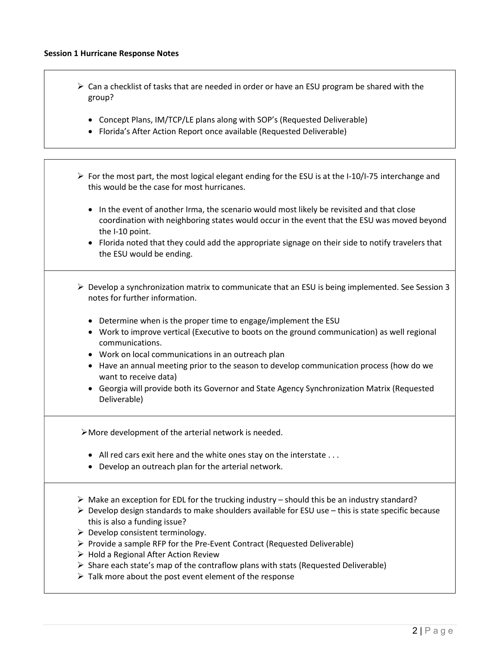- $\triangleright$  Can a checklist of tasks that are needed in order or have an ESU program be shared with the group?
	- Concept Plans, IM/TCP/LE plans along with SOP's (Requested Deliverable)
	- Florida's After Action Report once available (Requested Deliverable)
- $\triangleright$  For the most part, the most logical elegant ending for the ESU is at the I-10/I-75 interchange and this would be the case for most hurricanes.
	- In the event of another Irma, the scenario would most likely be revisited and that close coordination with neighboring states would occur in the event that the ESU was moved beyond the I-10 point.
	- Florida noted that they could add the appropriate signage on their side to notify travelers that the ESU would be ending.
- $\triangleright$  Develop a synchronization matrix to communicate that an ESU is being implemented. See Session 3 notes for further information.
	- Determine when is the proper time to engage/implement the ESU
	- Work to improve vertical (Executive to boots on the ground communication) as well regional communications.
	- Work on local communications in an outreach plan
	- Have an annual meeting prior to the season to develop communication process (how do we want to receive data)
	- Georgia will provide both its Governor and State Agency Synchronization Matrix (Requested Deliverable)

More development of the arterial network is needed.

- All red cars exit here and the white ones stay on the interstate . . .
- Develop an outreach plan for the arterial network.
- $\triangleright$  Make an exception for EDL for the trucking industry should this be an industry standard?
- $\triangleright$  Develop design standards to make shoulders available for ESU use this is state specific because this is also a funding issue?
- $\triangleright$  Develop consistent terminology.
- $\triangleright$  Provide a sample RFP for the Pre-Event Contract (Requested Deliverable)
- $\triangleright$  Hold a Regional After Action Review
- $\triangleright$  Share each state's map of the contraflow plans with stats (Requested Deliverable)
- $\triangleright$  Talk more about the post event element of the response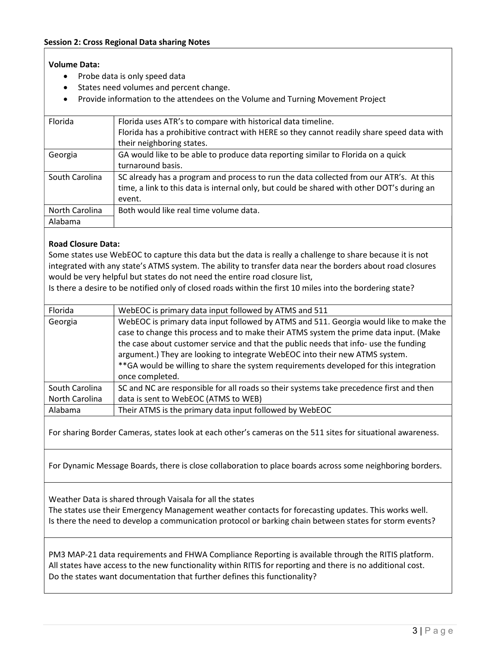## Volume Data:

- Probe data is only speed data
- States need volumes and percent change.
- Provide information to the attendees on the Volume and Turning Movement Project

| Florida        | Florida uses ATR's to compare with historical data timeline.                               |
|----------------|--------------------------------------------------------------------------------------------|
|                | Florida has a prohibitive contract with HERE so they cannot readily share speed data with  |
|                | their neighboring states.                                                                  |
| Georgia        | GA would like to be able to produce data reporting similar to Florida on a quick           |
|                | turnaround basis.                                                                          |
| South Carolina | SC already has a program and process to run the data collected from our ATR's. At this     |
|                | time, a link to this data is internal only, but could be shared with other DOT's during an |
|                | event.                                                                                     |
| North Carolina | Both would like real time volume data.                                                     |
| Alabama        |                                                                                            |
|                |                                                                                            |

### Road Closure Data:

Some states use WebEOC to capture this data but the data is really a challenge to share because it is not integrated with any state's ATMS system. The ability to transfer data near the borders about road closures would be very helpful but states do not need the entire road closure list,

Is there a desire to be notified only of closed roads within the first 10 miles into the bordering state?

| Florida        | WebEOC is primary data input followed by ATMS and 511                                                                                                                                                                                                                                                                                                                                                                                                              |
|----------------|--------------------------------------------------------------------------------------------------------------------------------------------------------------------------------------------------------------------------------------------------------------------------------------------------------------------------------------------------------------------------------------------------------------------------------------------------------------------|
| Georgia        | WebEOC is primary data input followed by ATMS and 511. Georgia would like to make the<br>case to change this process and to make their ATMS system the prime data input. (Make<br>the case about customer service and that the public needs that info- use the funding<br>argument.) They are looking to integrate WebEOC into their new ATMS system.<br>** GA would be willing to share the system requirements developed for this integration<br>once completed. |
| South Carolina | SC and NC are responsible for all roads so their systems take precedence first and then                                                                                                                                                                                                                                                                                                                                                                            |
| North Carolina | data is sent to WebEOC (ATMS to WEB)                                                                                                                                                                                                                                                                                                                                                                                                                               |
| Alabama        | Their ATMS is the primary data input followed by WebEOC                                                                                                                                                                                                                                                                                                                                                                                                            |

For sharing Border Cameras, states look at each other's cameras on the 511 sites for situational awareness.

For Dynamic Message Boards, there is close collaboration to place boards across some neighboring borders.

Weather Data is shared through Vaisala for all the states

The states use their Emergency Management weather contacts for forecasting updates. This works well. Is there the need to develop a communication protocol or barking chain between states for storm events?

PM3 MAP-21 data requirements and FHWA Compliance Reporting is available through the RITIS platform. All states have access to the new functionality within RITIS for reporting and there is no additional cost. Do the states want documentation that further defines this functionality?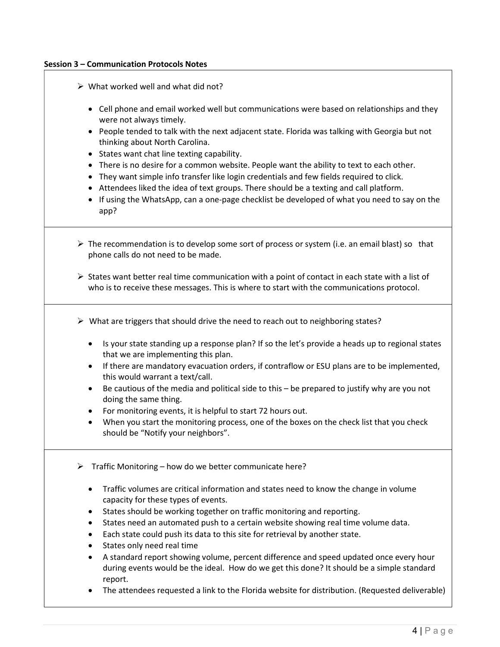#### Session 3 – Communication Protocols Notes

- $\triangleright$  What worked well and what did not?
	- Cell phone and email worked well but communications were based on relationships and they were not always timely.
	- People tended to talk with the next adjacent state. Florida was talking with Georgia but not thinking about North Carolina.
	- States want chat line texting capability.
	- There is no desire for a common website. People want the ability to text to each other.
	- They want simple info transfer like login credentials and few fields required to click.
	- Attendees liked the idea of text groups. There should be a texting and call platform.
	- If using the WhatsApp, can a one-page checklist be developed of what you need to say on the app?
- $\triangleright$  The recommendation is to develop some sort of process or system (i.e. an email blast) so that phone calls do not need to be made.
- $\triangleright$  States want better real time communication with a point of contact in each state with a list of who is to receive these messages. This is where to start with the communications protocol.
- $\triangleright$  What are triggers that should drive the need to reach out to neighboring states?
	- Is your state standing up a response plan? If so the let's provide a heads up to regional states that we are implementing this plan.
	- If there are mandatory evacuation orders, if contraflow or ESU plans are to be implemented, this would warrant a text/call.
	- Be cautious of the media and political side to this be prepared to justify why are you not doing the same thing.
	- For monitoring events, it is helpful to start 72 hours out.
	- When you start the monitoring process, one of the boxes on the check list that you check should be "Notify your neighbors".
- $\triangleright$  Traffic Monitoring how do we better communicate here?
	- Traffic volumes are critical information and states need to know the change in volume capacity for these types of events.
	- States should be working together on traffic monitoring and reporting.
	- States need an automated push to a certain website showing real time volume data.
	- Each state could push its data to this site for retrieval by another state.
	- States only need real time
	- A standard report showing volume, percent difference and speed updated once every hour during events would be the ideal. How do we get this done? It should be a simple standard report.
	- The attendees requested a link to the Florida website for distribution. (Requested deliverable)